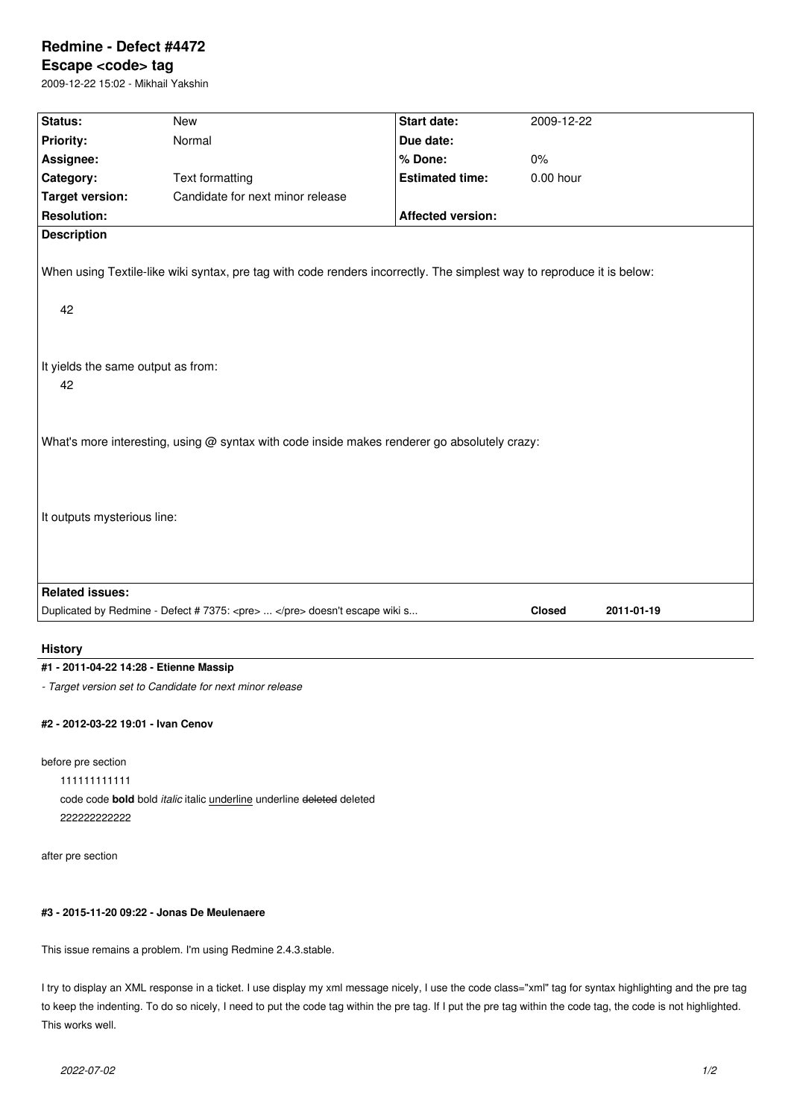# **Redmine - Defect #4472**

## **Escape <code> tag**

2009-12-22 15:02 - Mikhail Yakshin

| Start date:<br>Status:<br><b>New</b><br>2009-12-22<br><b>Priority:</b><br>Normal<br>Due date:<br>Assignee:<br>% Done:<br>$0\%$<br>Category:<br><b>Estimated time:</b><br>$0.00$ hour<br><b>Text formatting</b><br><b>Target version:</b><br>Candidate for next minor release<br><b>Resolution:</b><br><b>Affected version:</b><br><b>Description</b><br>When using Textile-like wiki syntax, pre tag with code renders incorrectly. The simplest way to reproduce it is below:<br>42<br>It yields the same output as from:<br>42<br>What's more interesting, using @ syntax with code inside makes renderer go absolutely crazy:<br>It outputs mysterious line:<br><b>Related issues:</b> |  |  |  |  |  |  |
|-------------------------------------------------------------------------------------------------------------------------------------------------------------------------------------------------------------------------------------------------------------------------------------------------------------------------------------------------------------------------------------------------------------------------------------------------------------------------------------------------------------------------------------------------------------------------------------------------------------------------------------------------------------------------------------------|--|--|--|--|--|--|
|                                                                                                                                                                                                                                                                                                                                                                                                                                                                                                                                                                                                                                                                                           |  |  |  |  |  |  |
|                                                                                                                                                                                                                                                                                                                                                                                                                                                                                                                                                                                                                                                                                           |  |  |  |  |  |  |
|                                                                                                                                                                                                                                                                                                                                                                                                                                                                                                                                                                                                                                                                                           |  |  |  |  |  |  |
|                                                                                                                                                                                                                                                                                                                                                                                                                                                                                                                                                                                                                                                                                           |  |  |  |  |  |  |
|                                                                                                                                                                                                                                                                                                                                                                                                                                                                                                                                                                                                                                                                                           |  |  |  |  |  |  |
|                                                                                                                                                                                                                                                                                                                                                                                                                                                                                                                                                                                                                                                                                           |  |  |  |  |  |  |
|                                                                                                                                                                                                                                                                                                                                                                                                                                                                                                                                                                                                                                                                                           |  |  |  |  |  |  |
|                                                                                                                                                                                                                                                                                                                                                                                                                                                                                                                                                                                                                                                                                           |  |  |  |  |  |  |
|                                                                                                                                                                                                                                                                                                                                                                                                                                                                                                                                                                                                                                                                                           |  |  |  |  |  |  |
|                                                                                                                                                                                                                                                                                                                                                                                                                                                                                                                                                                                                                                                                                           |  |  |  |  |  |  |
|                                                                                                                                                                                                                                                                                                                                                                                                                                                                                                                                                                                                                                                                                           |  |  |  |  |  |  |
|                                                                                                                                                                                                                                                                                                                                                                                                                                                                                                                                                                                                                                                                                           |  |  |  |  |  |  |
| Duplicated by Redmine - Defect # 7375: <pre>  </pre> doesn't escape wiki s<br><b>Closed</b><br>2011-01-19                                                                                                                                                                                                                                                                                                                                                                                                                                                                                                                                                                                 |  |  |  |  |  |  |

#### **History**

## **#1 - 2011-04-22 14:28 - Etienne Massip**

*- Target version set to Candidate for next minor release*

#### **#2 - 2012-03-22 19:01 - Ivan Cenov**

before pre section

111111111111

code code **bold** bold *italic* italic underline underline deleted deleted 222222222222

after pre section

## **#3 - 2015-11-20 09:22 - Jonas De Meulenaere**

This issue remains a problem. I'm using Redmine 2.4.3.stable.

I try to display an XML response in a ticket. I use display my xml message nicely, I use the code class="xml" tag for syntax highlighting and the pre tag to keep the indenting. To do so nicely, I need to put the code tag within the pre tag. If I put the pre tag within the code tag, the code is not highlighted. This works well.